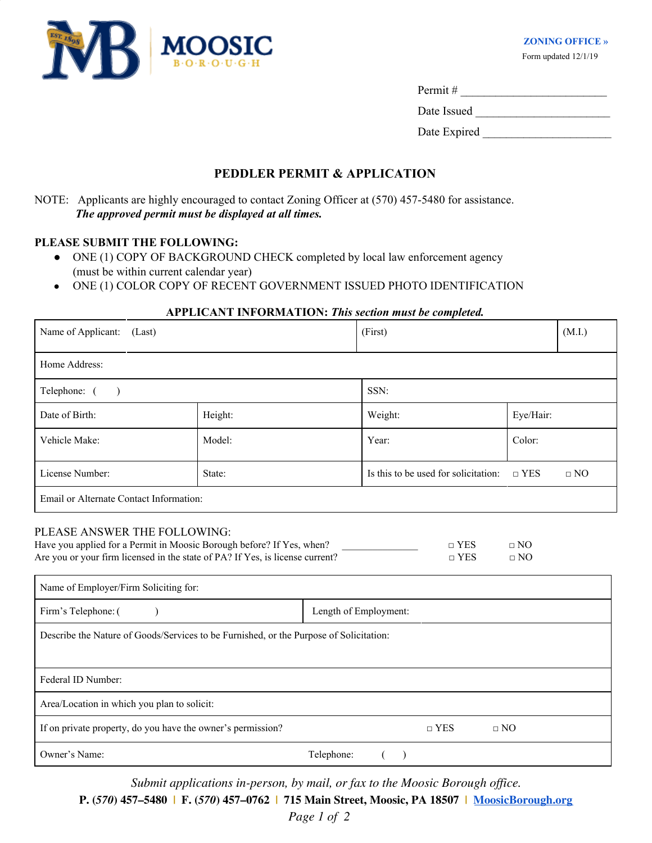

Permit # \_\_\_\_\_\_\_\_\_\_\_\_\_\_\_\_\_\_\_\_\_\_\_\_\_

Date Issued \_\_\_\_\_\_\_\_\_\_\_\_\_\_\_\_\_\_\_\_\_\_\_

Date Expired

# **PEDDLER PERMIT & APPLICATION**

NOTE: Applicants are highly encouraged to contact Zoning Officer at (570) 457-5480 for assistance. *The approved permit must be displayed at all times.*

## **PLEASE SUBMIT THE FOLLOWING:**

- ONE (1) COPY OF BACKGROUND CHECK completed by local law enforcement agency (must be within current calendar year)
- ONE (1) COLOR COPY OF RECENT GOVERNMENT ISSUED PHOTO IDENTIFICATION

### **APPLICANT INFORMATION:** *This section must be completed.*

| Name of Applicant:<br>(Last)                                          |                                                                                                                                                        |            | (First)                              |                        | (M.I.)    |  |
|-----------------------------------------------------------------------|--------------------------------------------------------------------------------------------------------------------------------------------------------|------------|--------------------------------------|------------------------|-----------|--|
| Home Address:                                                         |                                                                                                                                                        |            |                                      |                        |           |  |
| Telephone: (                                                          |                                                                                                                                                        |            | SSN:                                 |                        |           |  |
| Date of Birth:                                                        | Height:                                                                                                                                                |            | Weight:                              | Eye/Hair:              |           |  |
| Vehicle Make:                                                         | Model:                                                                                                                                                 |            | Year:                                | Color:                 |           |  |
| License Number:                                                       | State:                                                                                                                                                 |            | Is this to be used for solicitation: | $\Box$ YES             | $\Box$ NO |  |
| Email or Alternate Contact Information:                               |                                                                                                                                                        |            |                                      |                        |           |  |
| PLEASE ANSWER THE FOLLOWING:<br>Name of Employer/Firm Soliciting for: | Have you applied for a Permit in Moosic Borough before? If Yes, when?<br>Are you or your firm licensed in the state of PA? If Yes, is license current? |            | $\Box$ YES<br>$\Box$ YES             | $\Box$ NO<br>$\Box$ NO |           |  |
| Firm's Telephone: (                                                   |                                                                                                                                                        |            | Length of Employment:                |                        |           |  |
|                                                                       | Describe the Nature of Goods/Services to be Furnished, or the Purpose of Solicitation:                                                                 |            |                                      |                        |           |  |
| Federal ID Number:                                                    |                                                                                                                                                        |            |                                      |                        |           |  |
| Area/Location in which you plan to solicit:                           |                                                                                                                                                        |            |                                      |                        |           |  |
| If on private property, do you have the owner's permission?           |                                                                                                                                                        |            | $\Box$ YES                           | $\Box$ NO              |           |  |
| Owner's Name:                                                         |                                                                                                                                                        | Telephone: | $\lambda$                            |                        |           |  |

*Submit applications in-person, by mail, or fax to the Moosic Borough office.*

**P. (***570***) 457–5480 | F. (***570***) 457–0762 | 715 Main Street, Moosic, PA 18507 | [MoosicBorough.org](http://moosicborough.com/)**